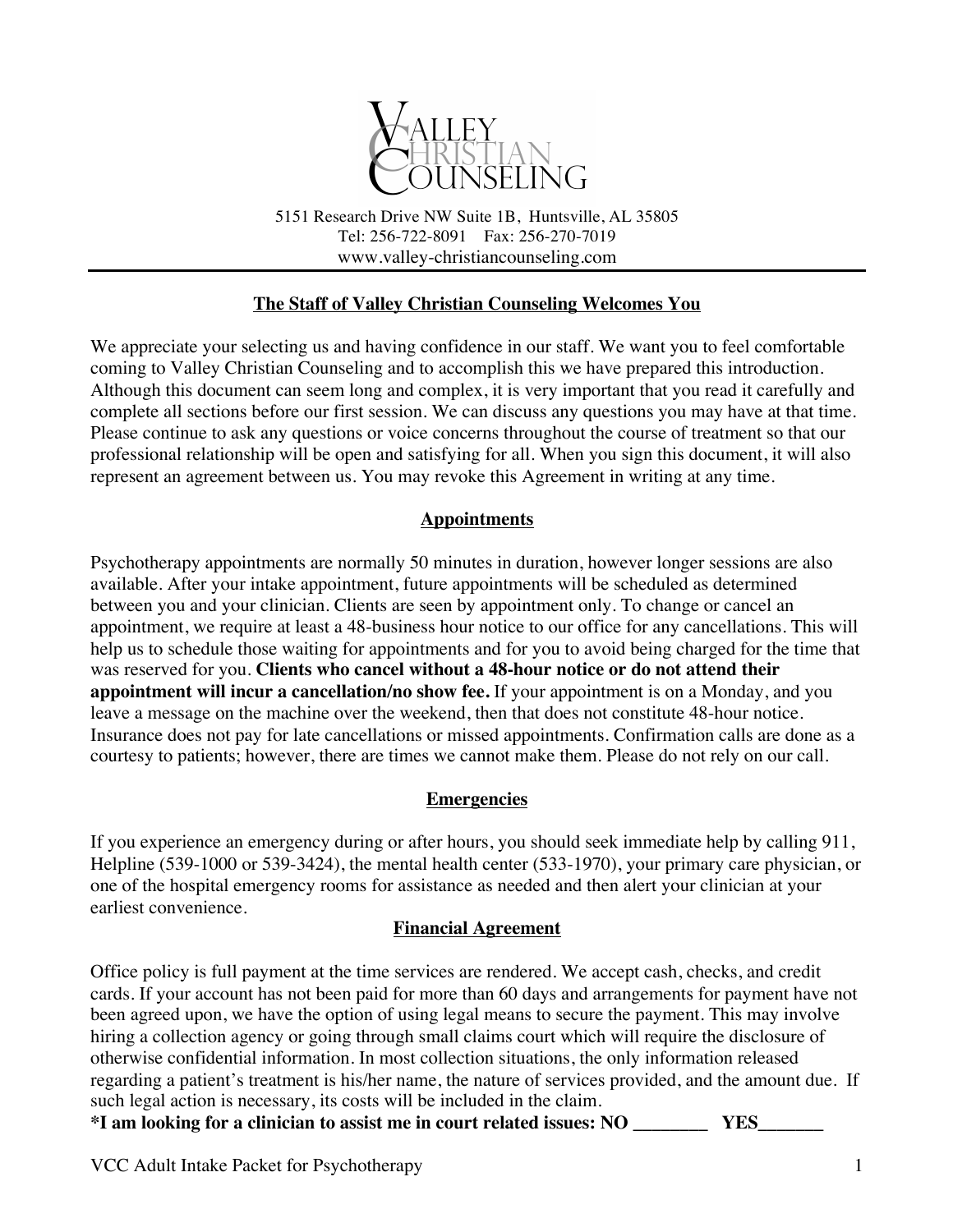

5151 Research Drive NW Suite 1B, Huntsville, AL 35805 Tel: 256-722-8091 Fax: 256-270-7019 www.valley-christiancounseling.com

#### **The Staff of Valley Christian Counseling Welcomes You**

We appreciate your selecting us and having confidence in our staff. We want you to feel comfortable coming to Valley Christian Counseling and to accomplish this we have prepared this introduction. Although this document can seem long and complex, it is very important that you read it carefully and complete all sections before our first session. We can discuss any questions you may have at that time. Please continue to ask any questions or voice concerns throughout the course of treatment so that our professional relationship will be open and satisfying for all. When you sign this document, it will also represent an agreement between us. You may revoke this Agreement in writing at any time.

#### **Appointments**

Psychotherapy appointments are normally 50 minutes in duration, however longer sessions are also available. After your intake appointment, future appointments will be scheduled as determined between you and your clinician. Clients are seen by appointment only. To change or cancel an appointment, we require at least a 48-business hour notice to our office for any cancellations. This will help us to schedule those waiting for appointments and for you to avoid being charged for the time that was reserved for you. **Clients who cancel without a 48-hour notice or do not attend their appointment will incur a cancellation/no show fee.** If your appointment is on a Monday, and you leave a message on the machine over the weekend, then that does not constitute 48-hour notice. Insurance does not pay for late cancellations or missed appointments. Confirmation calls are done as a courtesy to patients; however, there are times we cannot make them. Please do not rely on our call.

#### **Emergencies**

If you experience an emergency during or after hours, you should seek immediate help by calling 911, Helpline (539-1000 or 539-3424), the mental health center (533-1970), your primary care physician, or one of the hospital emergency rooms for assistance as needed and then alert your clinician at your earliest convenience.

#### **Financial Agreement**

Office policy is full payment at the time services are rendered. We accept cash, checks, and credit cards. If your account has not been paid for more than 60 days and arrangements for payment have not been agreed upon, we have the option of using legal means to secure the payment. This may involve hiring a collection agency or going through small claims court which will require the disclosure of otherwise confidential information. In most collection situations, the only information released regarding a patient's treatment is his/her name, the nature of services provided, and the amount due. If such legal action is necessary, its costs will be included in the claim. **\*I am looking for a clinician to assist me in court related issues: NO \_\_\_\_\_\_\_\_ YES\_\_\_\_\_\_\_**

VCC Adult Intake Packet for Psychotherapy 1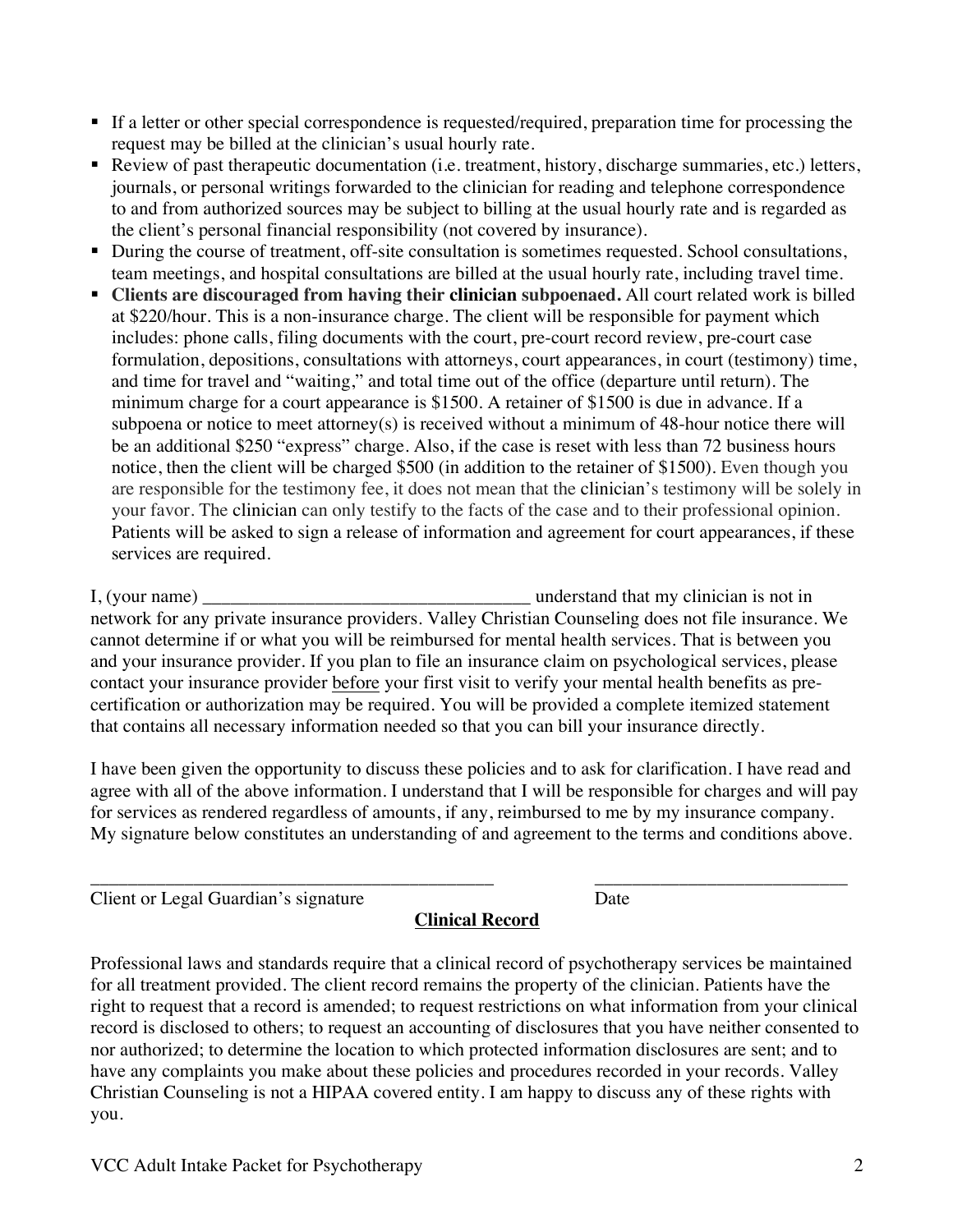- VCC Adult Intake Packet for Psychotherapy 2 you.
	-

I have been given the opportunity to discuss these policies and to ask for clarification. I have read and agree with all of the above information. I understand that I will be responsible for charges and will pay for services as rendered regardless of amounts, if any, reimbursed to me by my insurance company. My signature below constitutes an understanding of and agreement to the terms and conditions above.

that contains all necessary information needed so that you can bill your insurance directly.

cannot determine if or what you will be reimbursed for mental health services. That is between you and your insurance provider. If you plan to file an insurance claim on psychological services, please contact your insurance provider before your first visit to verify your mental health benefits as precertification or authorization may be required. You will be provided a complete itemized statement

the client's personal financial responsibility (not covered by insurance). • During the course of treatment, off-site consultation is sometimes requested. School consultations, team meetings, and hospital consultations are billed at the usual hourly rate, including travel time.

journals, or personal writings forwarded to the clinician for reading and telephone correspondence to and from authorized sources may be subject to billing at the usual hourly rate and is regarded as

§ **Clients are discouraged from having their clinician subpoenaed.** All court related work is billed at \$220/hour. This is a non-insurance charge. The client will be responsible for payment which includes: phone calls, filing documents with the court, pre-court record review, pre-court case formulation, depositions, consultations with attorneys, court appearances, in court (testimony) time, and time for travel and "waiting," and total time out of the office (departure until return). The minimum charge for a court appearance is \$1500. A retainer of \$1500 is due in advance. If a subpoena or notice to meet attorney(s) is received without a minimum of 48-hour notice there will be an additional \$250 "express" charge. Also, if the case is reset with less than 72 business hours notice, then the client will be charged \$500 (in addition to the retainer of \$1500). Even though you are responsible for the testimony fee, it does not mean that the clinician's testimony will be solely in your favor. The clinician can only testify to the facts of the case and to their professional opinion. Patients will be asked to sign a release of information and agreement for court appearances, if these

request may be billed at the clinician's usual hourly rate. ■ Review of past therapeutic documentation (i.e. treatment, history, discharge summaries, etc.) letters,

# § If a letter or other special correspondence is requested/required, preparation time for processing the

\_\_\_\_\_\_\_\_\_\_\_\_\_\_\_\_\_\_\_\_\_\_\_\_\_\_\_\_\_\_\_\_\_\_\_\_\_\_\_\_\_\_\_ \_\_\_\_\_\_\_\_\_\_\_\_\_\_\_\_\_\_\_\_\_\_\_\_\_\_\_ Client or Legal Guardian's signature Date

**Clinical Record**

Professional laws and standards require that a clinical record of psychotherapy services be maintained for all treatment provided. The client record remains the property of the clinician. Patients have the right to request that a record is amended; to request restrictions on what information from your clinical record is disclosed to others; to request an accounting of disclosures that you have neither consented to nor authorized; to determine the location to which protected information disclosures are sent; and to have any complaints you make about these policies and procedures recorded in your records. Valley Christian Counseling is not a HIPAA covered entity. I am happy to discuss any of these rights with

services are required. I, (your name) \_\_\_\_\_\_\_\_\_\_\_\_\_\_\_\_\_\_\_\_\_\_\_\_\_\_\_\_\_\_\_\_\_\_\_ understand that my clinician is not in network for any private insurance providers. Valley Christian Counseling does not file insurance. We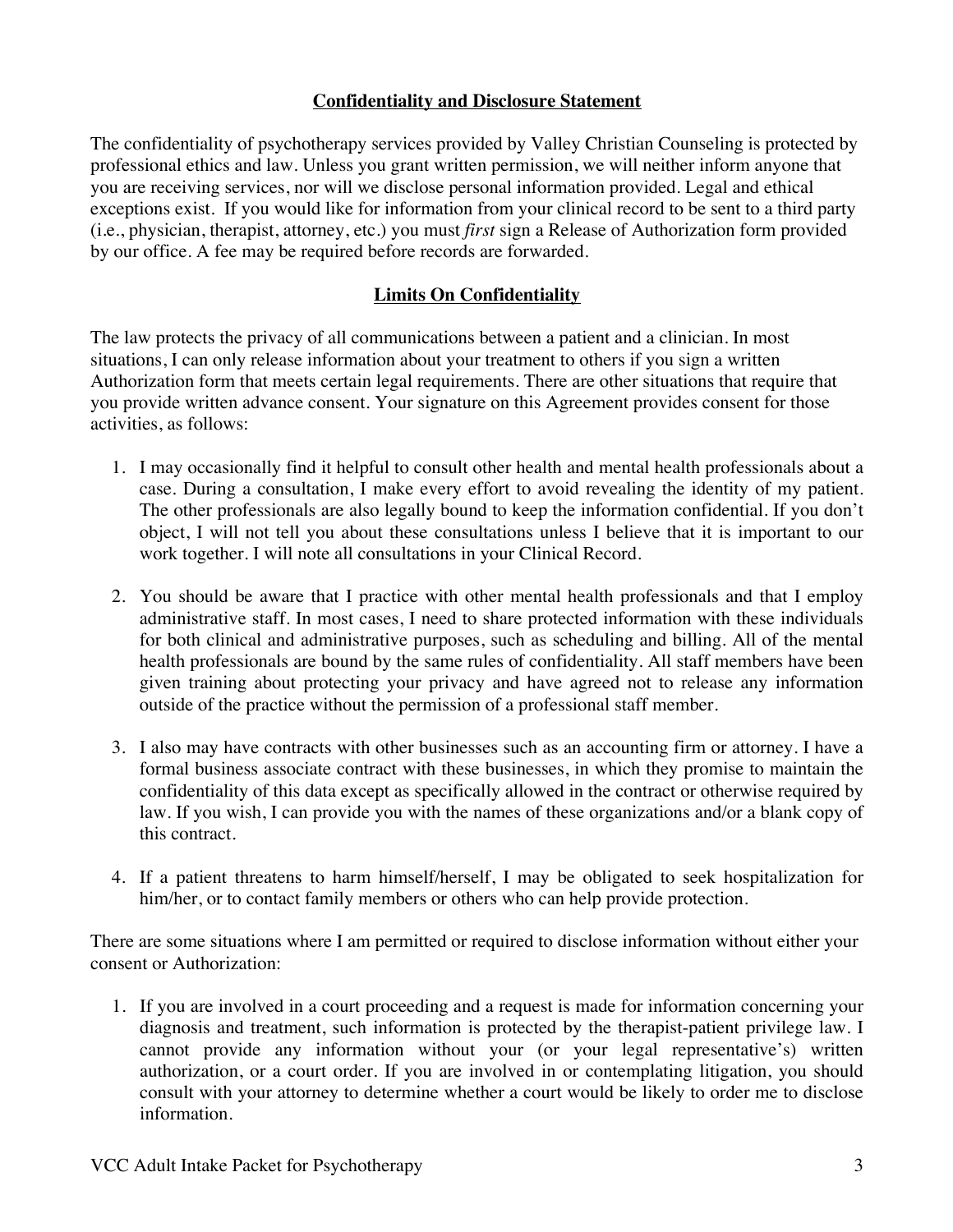#### **Confidentiality and Disclosure Statement**

The confidentiality of psychotherapy services provided by Valley Christian Counseling is protected by professional ethics and law. Unless you grant written permission, we will neither inform anyone that you are receiving services, nor will we disclose personal information provided. Legal and ethical exceptions exist. If you would like for information from your clinical record to be sent to a third party (i.e., physician, therapist, attorney, etc.) you must *first* sign a Release of Authorization form provided by our office. A fee may be required before records are forwarded.

#### **Limits On Confidentiality**

The law protects the privacy of all communications between a patient and a clinician. In most situations, I can only release information about your treatment to others if you sign a written Authorization form that meets certain legal requirements. There are other situations that require that you provide written advance consent. Your signature on this Agreement provides consent for those activities, as follows:

- 1. I may occasionally find it helpful to consult other health and mental health professionals about a case. During a consultation, I make every effort to avoid revealing the identity of my patient. The other professionals are also legally bound to keep the information confidential. If you don't object, I will not tell you about these consultations unless I believe that it is important to our work together. I will note all consultations in your Clinical Record.
- 2. You should be aware that I practice with other mental health professionals and that I employ administrative staff. In most cases, I need to share protected information with these individuals for both clinical and administrative purposes, such as scheduling and billing. All of the mental health professionals are bound by the same rules of confidentiality. All staff members have been given training about protecting your privacy and have agreed not to release any information outside of the practice without the permission of a professional staff member.
- 3. I also may have contracts with other businesses such as an accounting firm or attorney. I have a formal business associate contract with these businesses, in which they promise to maintain the confidentiality of this data except as specifically allowed in the contract or otherwise required by law. If you wish, I can provide you with the names of these organizations and/or a blank copy of this contract.
- 4. If a patient threatens to harm himself/herself, I may be obligated to seek hospitalization for him/her, or to contact family members or others who can help provide protection.

There are some situations where I am permitted or required to disclose information without either your consent or Authorization:

1. If you are involved in a court proceeding and a request is made for information concerning your diagnosis and treatment, such information is protected by the therapist-patient privilege law. I cannot provide any information without your (or your legal representative's) written authorization, or a court order. If you are involved in or contemplating litigation, you should consult with your attorney to determine whether a court would be likely to order me to disclose information.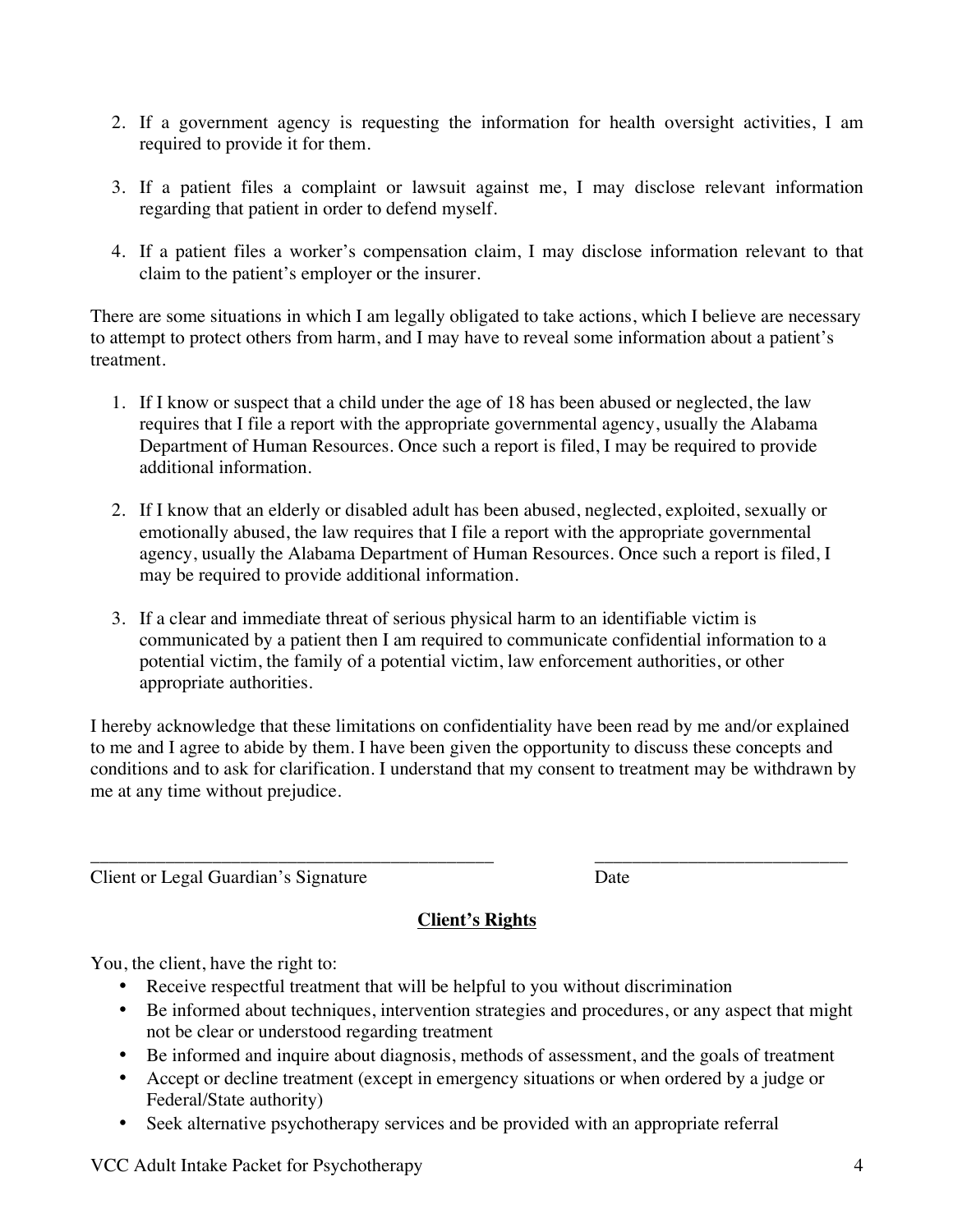- 2. If a government agency is requesting the information for health oversight activities, I am required to provide it for them.
- 3. If a patient files a complaint or lawsuit against me, I may disclose relevant information regarding that patient in order to defend myself.
- 4. If a patient files a worker's compensation claim, I may disclose information relevant to that claim to the patient's employer or the insurer.

There are some situations in which I am legally obligated to take actions, which I believe are necessary to attempt to protect others from harm, and I may have to reveal some information about a patient's treatment.

- 1. If I know or suspect that a child under the age of 18 has been abused or neglected, the law requires that I file a report with the appropriate governmental agency, usually the Alabama Department of Human Resources. Once such a report is filed, I may be required to provide additional information.
- 2. If I know that an elderly or disabled adult has been abused, neglected, exploited, sexually or emotionally abused, the law requires that I file a report with the appropriate governmental agency, usually the Alabama Department of Human Resources. Once such a report is filed, I may be required to provide additional information.
- 3. If a clear and immediate threat of serious physical harm to an identifiable victim is communicated by a patient then I am required to communicate confidential information to a potential victim, the family of a potential victim, law enforcement authorities, or other appropriate authorities.

I hereby acknowledge that these limitations on confidentiality have been read by me and/or explained to me and I agree to abide by them. I have been given the opportunity to discuss these concepts and conditions and to ask for clarification. I understand that my consent to treatment may be withdrawn by me at any time without prejudice.

Client or Legal Guardian's Signature Date

### **Client's Rights**

\_\_\_\_\_\_\_\_\_\_\_\_\_\_\_\_\_\_\_\_\_\_\_\_\_\_\_\_\_\_\_\_\_\_\_\_\_\_\_\_\_\_\_ \_\_\_\_\_\_\_\_\_\_\_\_\_\_\_\_\_\_\_\_\_\_\_\_\_\_\_

You, the client, have the right to:

- Receive respectful treatment that will be helpful to you without discrimination
- Be informed about techniques, intervention strategies and procedures, or any aspect that might not be clear or understood regarding treatment
- Be informed and inquire about diagnosis, methods of assessment, and the goals of treatment
- Accept or decline treatment (except in emergency situations or when ordered by a judge or Federal/State authority)
- Seek alternative psychotherapy services and be provided with an appropriate referral

VCC Adult Intake Packet for Psychotherapy 4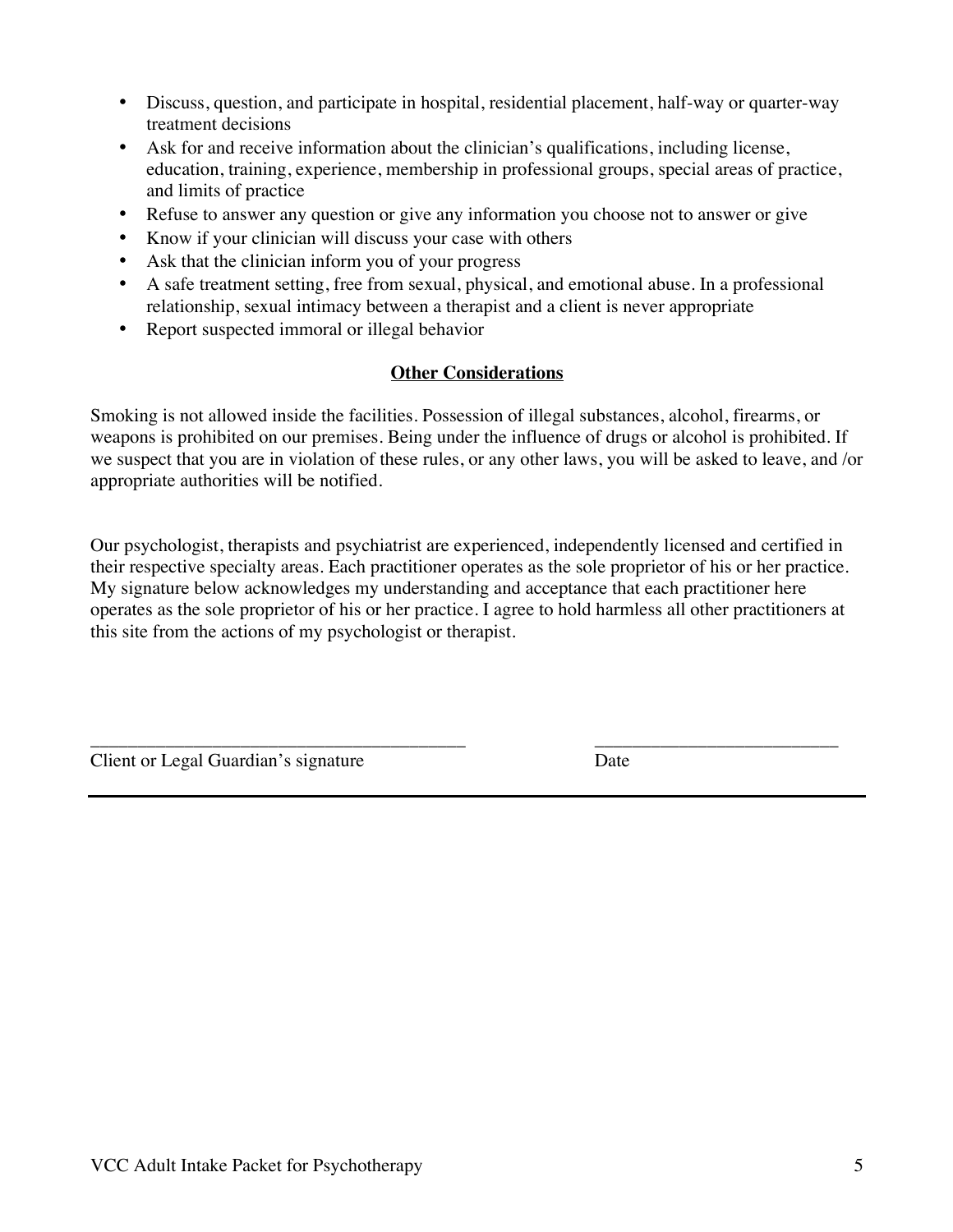- Discuss, question, and participate in hospital, residential placement, half-way or quarter-way treatment decisions
- Ask for and receive information about the clinician's qualifications, including license, education, training, experience, membership in professional groups, special areas of practice, and limits of practice
- Refuse to answer any question or give any information you choose not to answer or give
- Know if your clinician will discuss your case with others
- Ask that the clinician inform you of your progress
- A safe treatment setting, free from sexual, physical, and emotional abuse. In a professional relationship, sexual intimacy between a therapist and a client is never appropriate
- Report suspected immoral or illegal behavior

#### **Other Considerations**

Smoking is not allowed inside the facilities. Possession of illegal substances, alcohol, firearms, or weapons is prohibited on our premises. Being under the influence of drugs or alcohol is prohibited. If we suspect that you are in violation of these rules, or any other laws, you will be asked to leave, and /or appropriate authorities will be notified.

Our psychologist, therapists and psychiatrist are experienced, independently licensed and certified in their respective specialty areas. Each practitioner operates as the sole proprietor of his or her practice. My signature below acknowledges my understanding and acceptance that each practitioner here operates as the sole proprietor of his or her practice. I agree to hold harmless all other practitioners at this site from the actions of my psychologist or therapist.

\_\_\_\_\_\_\_\_\_\_\_\_\_\_\_\_\_\_\_\_\_\_\_\_\_\_\_\_\_\_\_\_\_\_\_\_\_\_\_\_ \_\_\_\_\_\_\_\_\_\_\_\_\_\_\_\_\_\_\_\_\_\_\_\_\_\_

Client or Legal Guardian's signature Date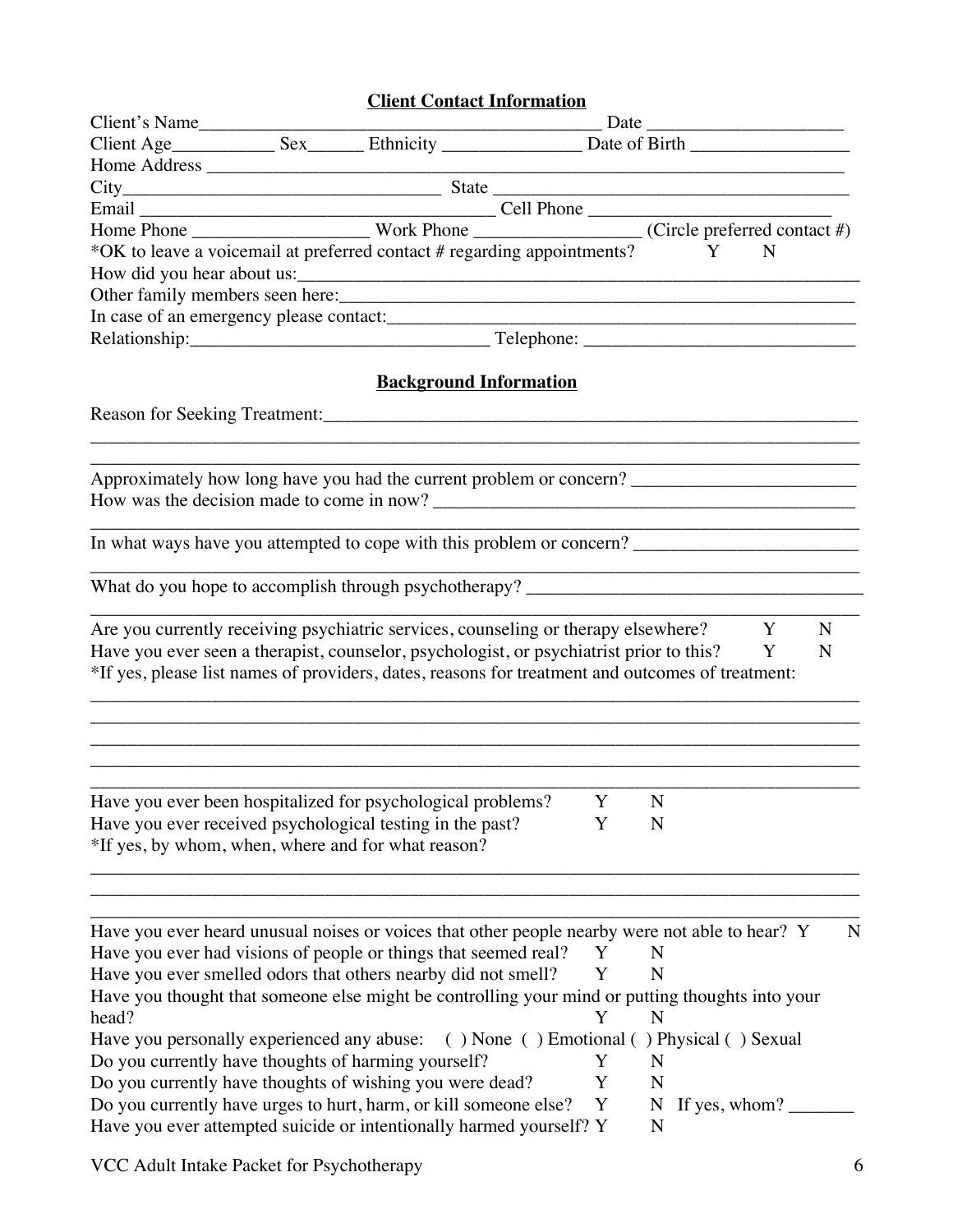### **Client Contact Information**

|                                            | <u>Client Contact Information</u>                                                                                                                                                                                                                                                   |   |                 |             |
|--------------------------------------------|-------------------------------------------------------------------------------------------------------------------------------------------------------------------------------------------------------------------------------------------------------------------------------------|---|-----------------|-------------|
|                                            |                                                                                                                                                                                                                                                                                     |   |                 |             |
|                                            |                                                                                                                                                                                                                                                                                     |   |                 |             |
|                                            |                                                                                                                                                                                                                                                                                     |   |                 |             |
|                                            |                                                                                                                                                                                                                                                                                     |   |                 |             |
|                                            |                                                                                                                                                                                                                                                                                     |   |                 |             |
|                                            | Email Cell Phone<br>Home Phone Work Phone Cell Phone (Circle preferred contact #)<br>*OK to leave a voicemail at preferred contact # regarding appointments?<br>Y N                                                                                                                 |   |                 |             |
|                                            |                                                                                                                                                                                                                                                                                     |   |                 |             |
|                                            |                                                                                                                                                                                                                                                                                     |   |                 |             |
|                                            |                                                                                                                                                                                                                                                                                     |   |                 |             |
|                                            | In case of an emergency please contact:                                                                                                                                                                                                                                             |   |                 |             |
|                                            |                                                                                                                                                                                                                                                                                     |   |                 |             |
|                                            |                                                                                                                                                                                                                                                                                     |   |                 |             |
|                                            | <b>Background Information</b>                                                                                                                                                                                                                                                       |   |                 |             |
|                                            |                                                                                                                                                                                                                                                                                     |   |                 |             |
|                                            |                                                                                                                                                                                                                                                                                     |   |                 |             |
|                                            | Approximately how long have you had the current problem or concern? ________________________________                                                                                                                                                                                |   |                 |             |
|                                            |                                                                                                                                                                                                                                                                                     |   |                 |             |
|                                            | In what ways have you attempted to cope with this problem or concern? _____________________________                                                                                                                                                                                 |   |                 |             |
|                                            |                                                                                                                                                                                                                                                                                     |   |                 |             |
|                                            | Are you currently receiving psychiatric services, counseling or therapy elsewhere?<br>Have you ever seen a therapist, counselor, psychologist, or psychiatrist prior to this? Y<br>*If yes, please list names of providers, dates, reasons for treatment and outcomes of treatment: |   |                 | Y<br>N<br>N |
|                                            | Have you ever been hospitalized for psychological problems? Y N<br>Have you ever received psychological testing in the past?                                                                                                                                                        | Y | N               |             |
|                                            | *If yes, by whom, when, where and for what reason?                                                                                                                                                                                                                                  |   |                 |             |
|                                            | Have you ever heard unusual noises or voices that other people nearby were not able to hear? Y                                                                                                                                                                                      |   |                 | N           |
|                                            | Have you ever had visions of people or things that seemed real?                                                                                                                                                                                                                     | Y | N               |             |
|                                            | Have you ever smelled odors that others nearby did not smell?                                                                                                                                                                                                                       | Y | N               |             |
|                                            | Have you thought that someone else might be controlling your mind or putting thoughts into your                                                                                                                                                                                     |   |                 |             |
| head?                                      |                                                                                                                                                                                                                                                                                     | Y | N               |             |
| Have you personally experienced any abuse: | () None () Emotional () Physical () Sexual                                                                                                                                                                                                                                          |   |                 |             |
|                                            | Do you currently have thoughts of harming yourself?                                                                                                                                                                                                                                 | Y | N               |             |
|                                            | Do you currently have thoughts of wishing you were dead?                                                                                                                                                                                                                            | Y | N               |             |
|                                            | Do you currently have urges to hurt, harm, or kill someone else?                                                                                                                                                                                                                    | Y | N If yes, whom? |             |

VCC Adult Intake Packet for Psychotherapy 6

Have you ever attempted suicide or intentionally harmed yourself?  $Y - N$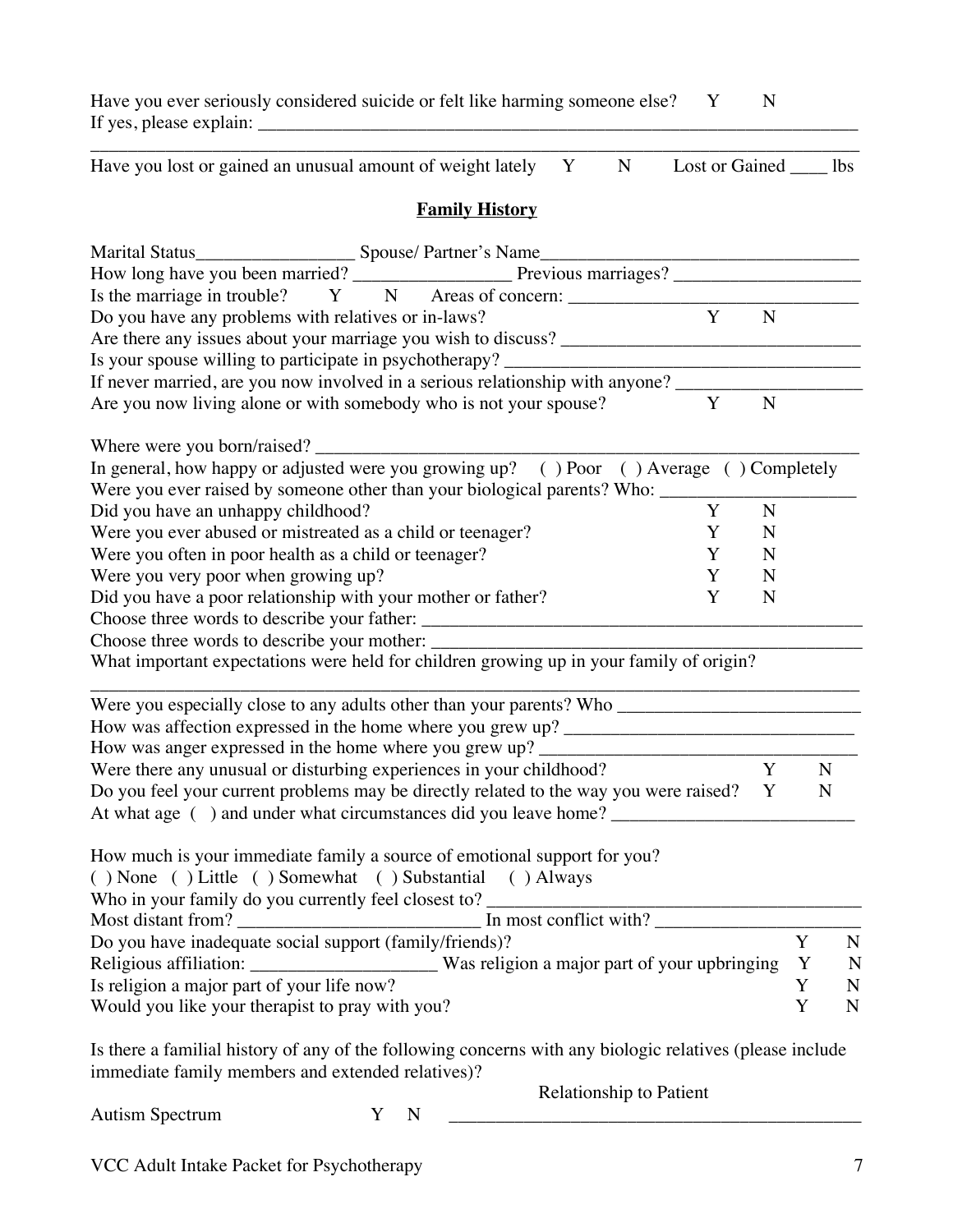| Have you ever seriously considered suicide or felt like harming someone else? Y |  |  |
|---------------------------------------------------------------------------------|--|--|
| If yes, please explain:                                                         |  |  |

\_\_\_\_\_\_\_\_\_\_\_\_\_\_\_\_\_\_\_\_\_\_\_\_\_\_\_\_\_\_\_\_\_\_\_\_\_\_\_\_\_\_\_\_\_\_\_\_\_\_\_\_\_\_\_\_\_\_\_\_\_\_\_\_\_\_\_\_\_\_\_\_\_\_\_\_\_\_\_\_\_\_ Have you lost or gained an unusual amount of weight lately  $Y$   $N$  Lost or Gained  $\_\_$ lbs

#### **Family History**

|                                                                     | Is the marriage in trouble? Y N Areas of concern: _______________________________                                                                            |              |                |             |   |
|---------------------------------------------------------------------|--------------------------------------------------------------------------------------------------------------------------------------------------------------|--------------|----------------|-------------|---|
| Do you have any problems with relatives or in-laws?                 |                                                                                                                                                              | $\mathbf{Y}$ | $\mathbf N$    |             |   |
|                                                                     |                                                                                                                                                              |              |                |             |   |
|                                                                     | Is your spouse willing to participate in psychotherapy? ________________________                                                                             |              |                |             |   |
|                                                                     | If never married, are you now involved in a serious relationship with anyone?                                                                                |              |                |             |   |
| Are you now living alone or with somebody who is not your spouse?   |                                                                                                                                                              | Y            | $\overline{N}$ |             |   |
| Where were you born/raised?                                         |                                                                                                                                                              |              |                |             |   |
|                                                                     | In general, how happy or adjusted were you growing up? () Poor () Average () Completely                                                                      |              |                |             |   |
|                                                                     | Were you ever raised by someone other than your biological parents? Who: ______                                                                              |              |                |             |   |
| Did you have an unhappy childhood?                                  |                                                                                                                                                              | Y            | $\mathbf N$    |             |   |
| Were you ever abused or mistreated as a child or teenager?          |                                                                                                                                                              | Y            | N              |             |   |
| Were you often in poor health as a child or teenager?               |                                                                                                                                                              | Y            | N              |             |   |
| Were you very poor when growing up?                                 |                                                                                                                                                              | Y            | N              |             |   |
| Did you have a poor relationship with your mother or father?        |                                                                                                                                                              | Y            | N              |             |   |
|                                                                     |                                                                                                                                                              |              |                |             |   |
|                                                                     |                                                                                                                                                              |              |                |             |   |
|                                                                     | What important expectations were held for children growing up in your family of origin?                                                                      |              |                |             |   |
|                                                                     |                                                                                                                                                              |              |                |             |   |
|                                                                     |                                                                                                                                                              |              |                |             |   |
|                                                                     | How was anger expressed in the home where you grew up? __________________________                                                                            |              |                |             |   |
| Were there any unusual or disturbing experiences in your childhood? |                                                                                                                                                              |              | Y              | $\mathbf N$ |   |
|                                                                     | Do you feel your current problems may be directly related to the way you were raised?                                                                        |              | Y              | $\mathbf N$ |   |
| () None () Little () Somewhat () Substantial () Always              | How much is your immediate family a source of emotional support for you?<br>Who in your family do you currently feel closest to? ___________________________ |              |                |             |   |
| Do you have inadequate social support (family/friends)?             |                                                                                                                                                              |              |                | $\mathbf Y$ | N |
|                                                                     | Religious affiliation: __________________________Was religion a major part of your upbringing                                                                |              |                | Y           | N |
| Is religion a major part of your life now?                          |                                                                                                                                                              |              |                | Y           | N |
| Would you like your therapist to pray with you?                     |                                                                                                                                                              |              |                | Y           | N |
|                                                                     |                                                                                                                                                              |              |                |             |   |

Is there a familial history of any of the following concerns with any biologic relatives (please include immediate family members and extended relatives)?

Autism Spectrum Y N

Relationship to Patient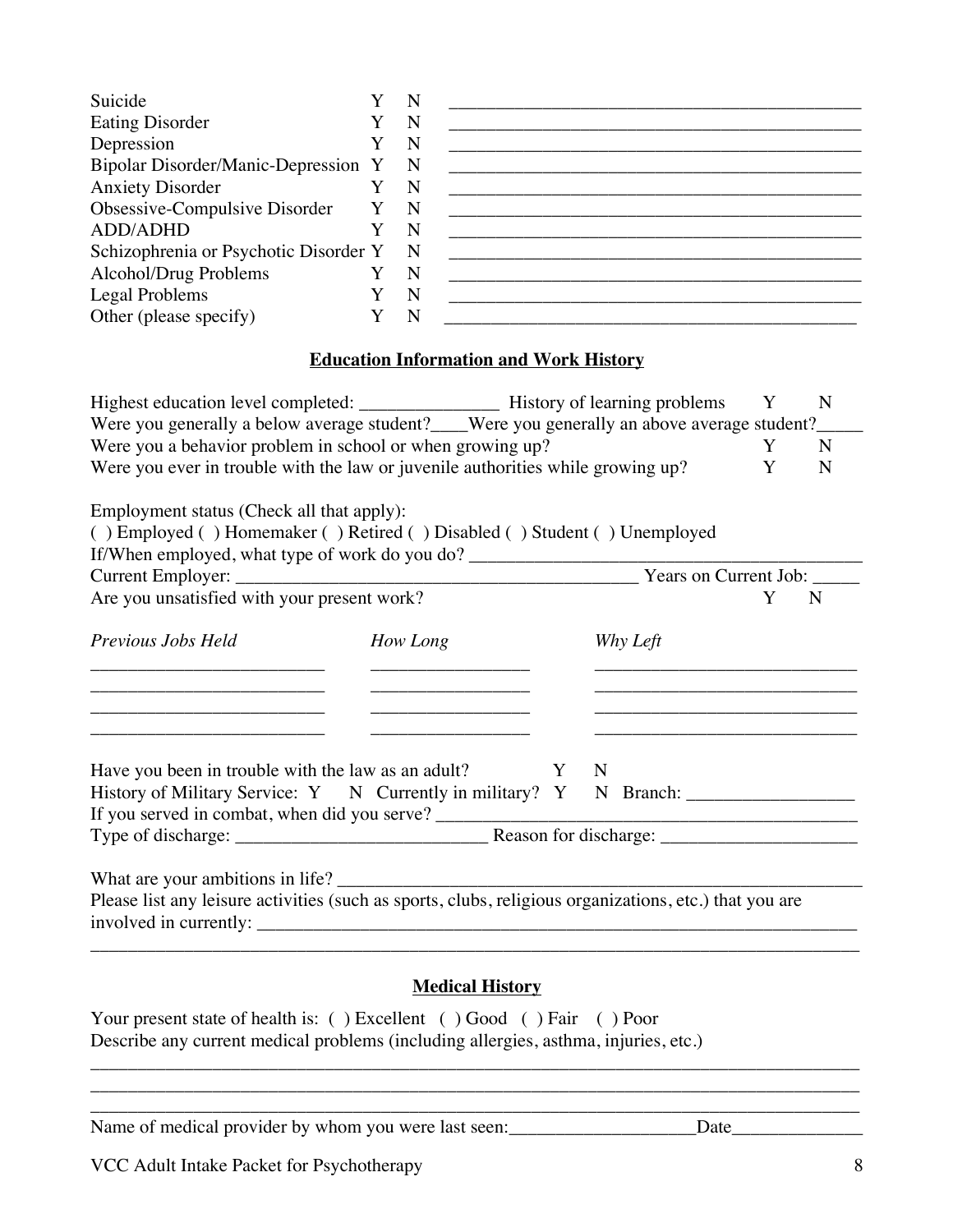| Suicide                                                                         |   | N           |                                               |   |   |
|---------------------------------------------------------------------------------|---|-------------|-----------------------------------------------|---|---|
| <b>Eating Disorder</b>                                                          |   | N           |                                               |   |   |
| Depression                                                                      |   | N           |                                               |   |   |
| Bipolar Disorder/Manic-Depression Y                                             |   | N           |                                               |   |   |
| <b>Anxiety Disorder</b>                                                         |   | N           |                                               |   |   |
| Obsessive-Compulsive Disorder                                                   | Y | $\mathbf N$ |                                               |   |   |
| <b>ADD/ADHD</b>                                                                 |   | N           |                                               |   |   |
| Schizophrenia or Psychotic Disorder Y                                           |   | $\mathbf N$ |                                               |   |   |
| Alcohol/Drug Problems                                                           |   | $\mathbf N$ |                                               |   |   |
| Legal Problems                                                                  |   | N           |                                               |   |   |
| Other (please specify)                                                          |   | N           |                                               |   |   |
|                                                                                 |   |             | <b>Education Information and Work History</b> |   |   |
|                                                                                 |   |             |                                               | Y | N |
|                                                                                 |   |             |                                               |   |   |
| Were you a behavior problem in school or when growing up?                       |   |             |                                               |   | N |
| Were you ever in trouble with the law or juvenile authorities while growing up? |   |             |                                               | N |   |

Employment status (Check all that apply):

( ) Employed ( ) Homemaker ( ) Retired ( ) Disabled ( ) Student ( ) Unemployed If/When employed, what type of work do you do?

| Are you unsatisfied with your present work? |                                                                                   |          | N |
|---------------------------------------------|-----------------------------------------------------------------------------------|----------|---|
| Previous Jobs Held                          | How Long                                                                          | Why Left |   |
|                                             |                                                                                   |          |   |
|                                             | Have you been in trouble with the law as an adult? $Y \tN$                        |          |   |
|                                             | History of Military Service: Y N Currently in military? Y N Branch: _____________ |          |   |
|                                             |                                                                                   |          |   |
|                                             |                                                                                   |          |   |

Please list any leisure activities (such as sports, clubs, religious organizations, etc.) that you are involved in currently: \_\_\_\_\_\_\_\_\_\_\_\_\_\_\_\_\_\_\_\_\_\_\_\_\_\_\_\_\_\_\_\_\_\_\_\_\_\_\_\_\_\_\_\_\_\_\_\_\_\_\_\_\_\_\_\_\_\_\_\_\_\_\_\_

#### **Medical History**

\_\_\_\_\_\_\_\_\_\_\_\_\_\_\_\_\_\_\_\_\_\_\_\_\_\_\_\_\_\_\_\_\_\_\_\_\_\_\_\_\_\_\_\_\_\_\_\_\_\_\_\_\_\_\_\_\_\_\_\_\_\_\_\_\_\_\_\_\_\_\_\_\_\_\_\_\_\_\_\_\_\_ \_\_\_\_\_\_\_\_\_\_\_\_\_\_\_\_\_\_\_\_\_\_\_\_\_\_\_\_\_\_\_\_\_\_\_\_\_\_\_\_\_\_\_\_\_\_\_\_\_\_\_\_\_\_\_\_\_\_\_\_\_\_\_\_\_\_\_\_\_\_\_\_\_\_\_\_\_\_\_\_\_\_ \_\_\_\_\_\_\_\_\_\_\_\_\_\_\_\_\_\_\_\_\_\_\_\_\_\_\_\_\_\_\_\_\_\_\_\_\_\_\_\_\_\_\_\_\_\_\_\_\_\_\_\_\_\_\_\_\_\_\_\_\_\_\_\_\_\_\_\_\_\_\_\_\_\_\_\_\_\_\_\_\_\_

\_\_\_\_\_\_\_\_\_\_\_\_\_\_\_\_\_\_\_\_\_\_\_\_\_\_\_\_\_\_\_\_\_\_\_\_\_\_\_\_\_\_\_\_\_\_\_\_\_\_\_\_\_\_\_\_\_\_\_\_\_\_\_\_\_\_\_\_\_\_\_\_\_\_\_\_\_\_\_\_\_\_

Your present state of health is: ( ) Excellent ( ) Good ( ) Fair ( ) Poor Describe any current medical problems (including allergies, asthma, injuries, etc.)

Name of medical provider by whom you were last seen:\_\_\_\_\_\_\_\_\_\_\_\_\_\_\_\_\_\_\_\_Date\_\_\_\_\_\_\_\_\_\_\_\_\_\_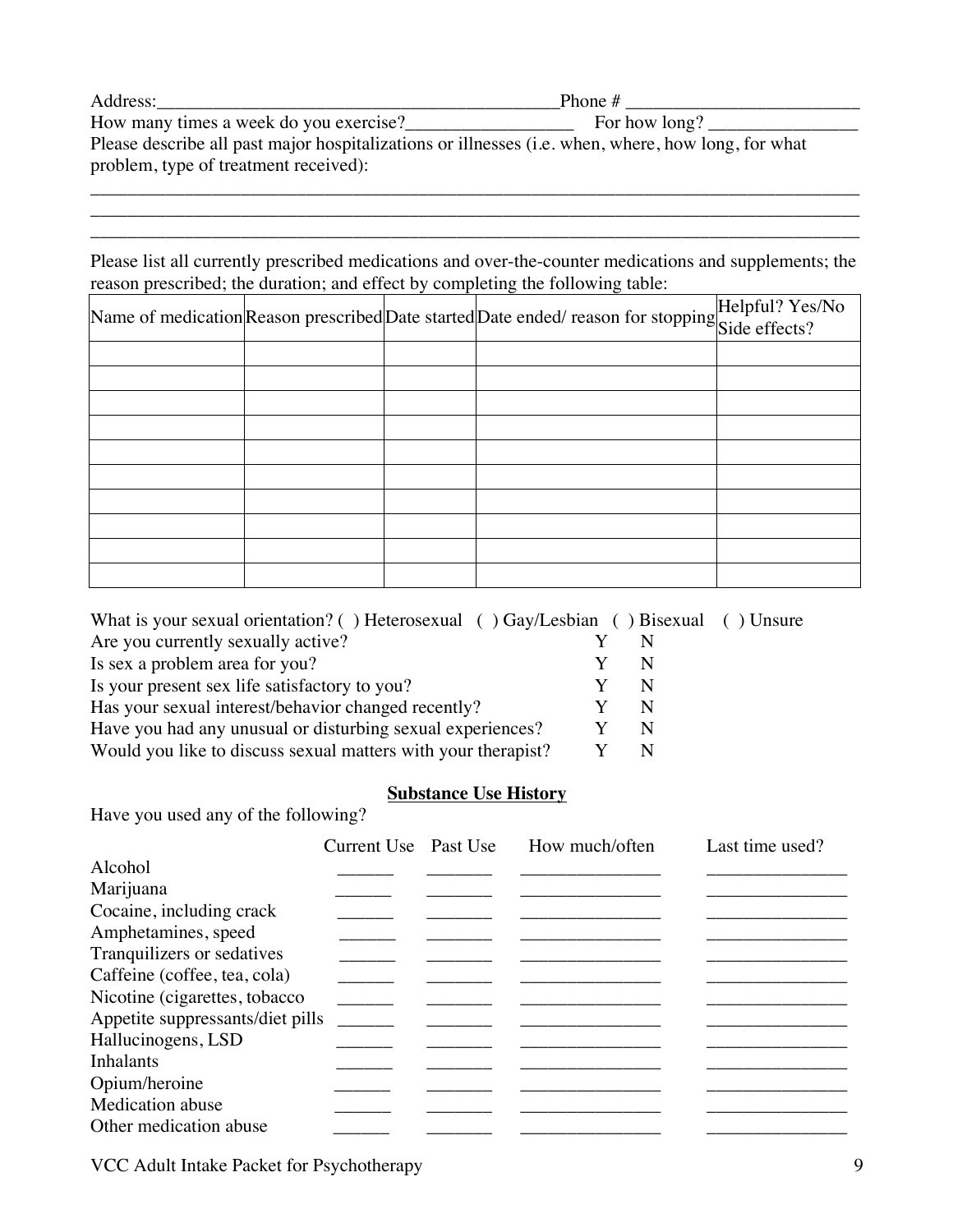| Address:                                                                                           | Phone #       |
|----------------------------------------------------------------------------------------------------|---------------|
| How many times a week do you exercise?                                                             | For how long? |
| Please describe all past major hospitalizations or illnesses (i.e. when, where, how long, for what |               |
| problem, type of treatment received):                                                              |               |

\_\_\_\_\_\_\_\_\_\_\_\_\_\_\_\_\_\_\_\_\_\_\_\_\_\_\_\_\_\_\_\_\_\_\_\_\_\_\_\_\_\_\_\_\_\_\_\_\_\_\_\_\_\_\_\_\_\_\_\_\_\_\_\_\_\_\_\_\_\_\_\_\_\_\_\_\_\_\_\_\_\_ \_\_\_\_\_\_\_\_\_\_\_\_\_\_\_\_\_\_\_\_\_\_\_\_\_\_\_\_\_\_\_\_\_\_\_\_\_\_\_\_\_\_\_\_\_\_\_\_\_\_\_\_\_\_\_\_\_\_\_\_\_\_\_\_\_\_\_\_\_\_\_\_\_\_\_\_\_\_\_\_\_\_ \_\_\_\_\_\_\_\_\_\_\_\_\_\_\_\_\_\_\_\_\_\_\_\_\_\_\_\_\_\_\_\_\_\_\_\_\_\_\_\_\_\_\_\_\_\_\_\_\_\_\_\_\_\_\_\_\_\_\_\_\_\_\_\_\_\_\_\_\_\_\_\_\_\_\_\_\_\_\_\_\_\_

Please list all currently prescribed medications and over-the-counter medications and supplements; the reason prescribed; the duration; and effect by completing the following table:

|  | Name of medication Reason prescribed Date started Date ended/ reason for stopping Side effects? |  |
|--|-------------------------------------------------------------------------------------------------|--|
|  |                                                                                                 |  |
|  |                                                                                                 |  |
|  |                                                                                                 |  |
|  |                                                                                                 |  |
|  |                                                                                                 |  |
|  |                                                                                                 |  |
|  |                                                                                                 |  |
|  |                                                                                                 |  |
|  |                                                                                                 |  |
|  |                                                                                                 |  |

| N |                                                                                       |
|---|---------------------------------------------------------------------------------------|
|   |                                                                                       |
| N |                                                                                       |
|   |                                                                                       |
|   | What is your sexual orientation? () Heterosexual () Gay/Lesbian () Bisexual () Unsure |

#### **Substance Use History**

Have you used any of the following?

|                                  | Current Use Past Use | How much/often | Last time used? |
|----------------------------------|----------------------|----------------|-----------------|
| Alcohol                          |                      |                |                 |
| Marijuana                        |                      |                |                 |
| Cocaine, including crack         |                      |                |                 |
| Amphetamines, speed              |                      |                |                 |
| Tranquilizers or sedatives       |                      |                |                 |
| Caffeine (coffee, tea, cola)     |                      |                |                 |
| Nicotine (cigarettes, tobacco    |                      |                |                 |
| Appetite suppressants/diet pills |                      |                |                 |
| Hallucinogens, LSD               |                      |                |                 |
| <b>Inhalants</b>                 |                      |                |                 |
| Opium/heroine                    |                      |                |                 |
| Medication abuse                 |                      |                |                 |
| Other medication abuse           |                      |                |                 |

VCC Adult Intake Packet for Psychotherapy 9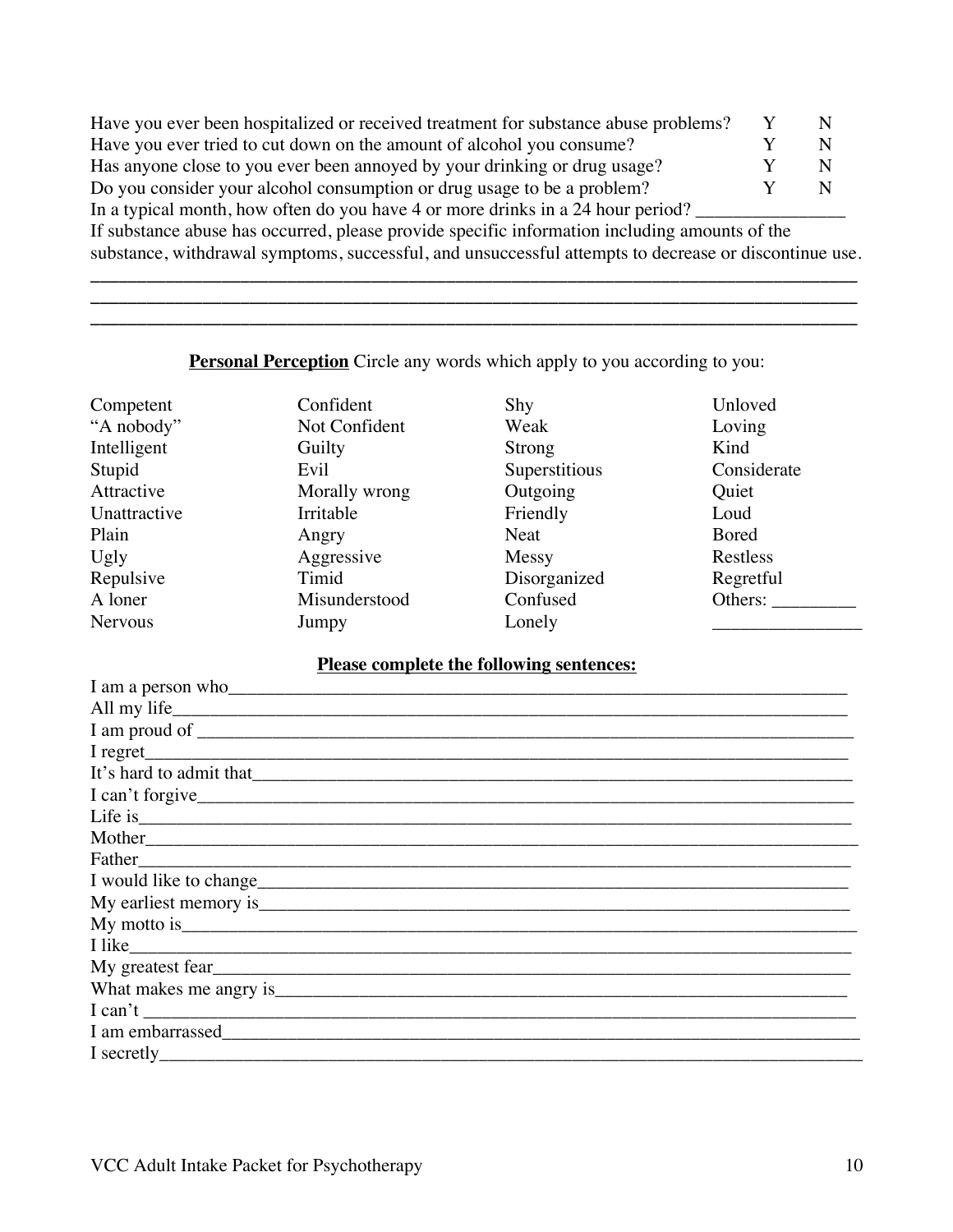| Have you ever been hospitalized or received treatment for substance abuse problems?           |  |
|-----------------------------------------------------------------------------------------------|--|
| Have you ever tried to cut down on the amount of alcohol you consume?                         |  |
| Has anyone close to you ever been annoyed by your drinking or drug usage?                     |  |
| Do you consider your alcohol consumption or drug usage to be a problem?                       |  |
| In a typical month, how often do you have 4 or more drinks in a 24 hour period?               |  |
| If substance abuse has occurred, please provide specific information including amounts of the |  |

substance, withdrawal symptoms, successful, and unsuccessful attempts to decrease or discontinue use. **\_\_\_\_\_\_\_\_\_\_\_\_\_\_\_\_\_\_\_\_\_\_\_\_\_\_\_\_\_\_\_\_\_\_\_\_\_\_\_\_\_\_\_\_\_\_\_\_\_\_\_\_\_\_\_\_\_\_\_\_\_\_\_\_\_\_\_\_\_\_\_\_\_\_\_\_\_\_\_\_\_\_**

## **Personal Perception** Circle any words which apply to you according to you:

| Competent      | Confident     | Shy           | Unloved      |
|----------------|---------------|---------------|--------------|
| "A nobody"     | Not Confident | Weak          | Loving       |
| Intelligent    | Guilty        | Strong        | Kind         |
| Stupid         | Evil          | Superstitious | Considerate  |
| Attractive     | Morally wrong | Outgoing      | Quiet        |
| Unattractive   | Irritable     | Friendly      | Loud         |
| Plain          | Angry         | Neat          | <b>Bored</b> |
| Ugly           | Aggressive    | Messy         | Restless     |
| Repulsive      | Timid         | Disorganized  | Regretful    |
| A loner        | Misunderstood | Confused      | Others:      |
| <b>Nervous</b> | Jumpy         | Lonely        |              |

### **Please complete the following sentences:**

| I am a person who has a series of the same state of the same state of the same state of the same state of the same state of the same state of the same state of the same state of the same state of the same state of the same |
|--------------------------------------------------------------------------------------------------------------------------------------------------------------------------------------------------------------------------------|
|                                                                                                                                                                                                                                |
|                                                                                                                                                                                                                                |
|                                                                                                                                                                                                                                |
|                                                                                                                                                                                                                                |
| I can't forgive                                                                                                                                                                                                                |
|                                                                                                                                                                                                                                |
|                                                                                                                                                                                                                                |
|                                                                                                                                                                                                                                |
|                                                                                                                                                                                                                                |
|                                                                                                                                                                                                                                |
|                                                                                                                                                                                                                                |
|                                                                                                                                                                                                                                |
|                                                                                                                                                                                                                                |
|                                                                                                                                                                                                                                |
| I can't                                                                                                                                                                                                                        |
|                                                                                                                                                                                                                                |
|                                                                                                                                                                                                                                |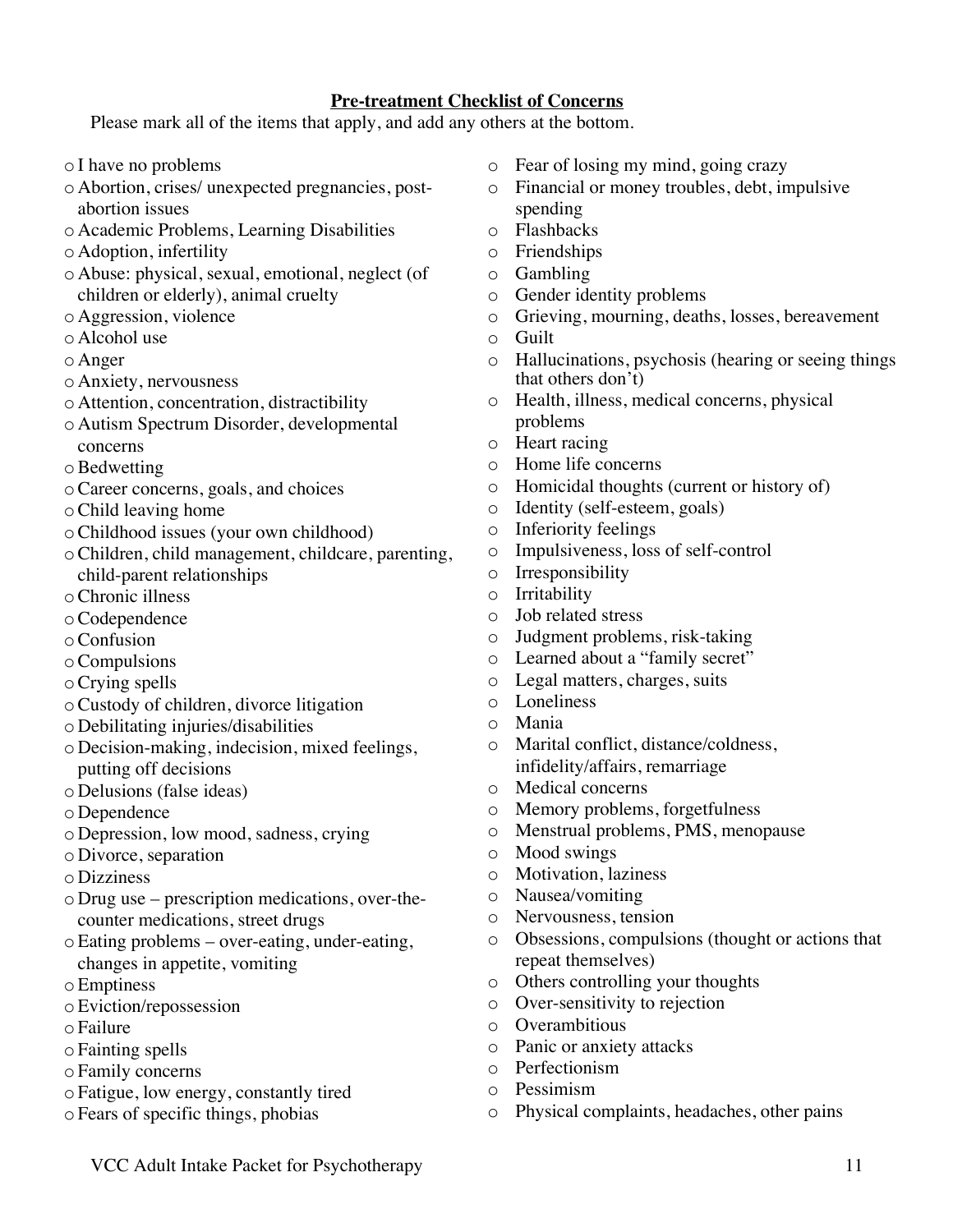#### **Pre-treatment Checklist of Concerns**

Please mark all of the items that apply, and add any others at the bottom.

- o I have no problems
- o Abortion, crises/ unexpected pregnancies, postabortion issues
- o Academic Problems, Learning Disabilities
- o Adoption, infertility
- o Abuse: physical, sexual, emotional, neglect (of children or elderly), animal cruelty
- o Aggression, violence
- o Alcohol use
- o Anger
- o Anxiety, nervousness
- o Attention, concentration, distractibility
- o Autism Spectrum Disorder, developmental concerns
- oBedwetting
- oCareer concerns, goals, and choices
- oChild leaving home
- oChildhood issues (your own childhood)
- oChildren, child management, childcare, parenting, child-parent relationships
- oChronic illness
- oCodependence
- oConfusion
- oCompulsions
- oCrying spells
- oCustody of children, divorce litigation
- o Debilitating injuries/disabilities
- o Decision-making, indecision, mixed feelings, putting off decisions
- o Delusions (false ideas)
- o Dependence
- o Depression, low mood, sadness, crying
- o Divorce, separation
- o Dizziness
- o Drug use prescription medications, over-thecounter medications, street drugs
- oEating problems over-eating, under-eating, changes in appetite, vomiting
- oEmptiness
- oEviction/repossession
- o Failure
- o Fainting spells
- o Family concerns
- o Fatigue, low energy, constantly tired
- o Fears of specific things, phobias
- o Fear of losing my mind, going crazy
- o Financial or money troubles, debt, impulsive spending
- o Flashbacks
- o Friendships
- o Gambling
- o Gender identity problems
- o Grieving, mourning, deaths, losses, bereavement
- o Guilt
- o Hallucinations, psychosis (hearing or seeing things that others don't)
- o Health, illness, medical concerns, physical problems
- o Heart racing
- o Home life concerns
- o Homicidal thoughts (current or history of)
- o Identity (self-esteem, goals)
- o Inferiority feelings
- o Impulsiveness, loss of self-control
- o Irresponsibility
- o Irritability
- o Job related stress
- o Judgment problems, risk-taking
- o Learned about a "family secret"
- o Legal matters, charges, suits
- o Loneliness
- o Mania
- o Marital conflict, distance/coldness, infidelity/affairs, remarriage
- o Medical concerns
- o Memory problems, forgetfulness
- o Menstrual problems, PMS, menopause
- o Mood swings
- o Motivation, laziness
- o Nausea/vomiting
- o Nervousness, tension
- o Obsessions, compulsions (thought or actions that repeat themselves)
- o Others controlling your thoughts
- o Over-sensitivity to rejection
- o Overambitious
- o Panic or anxiety attacks
- o Perfectionism
- o Pessimism
- o Physical complaints, headaches, other pains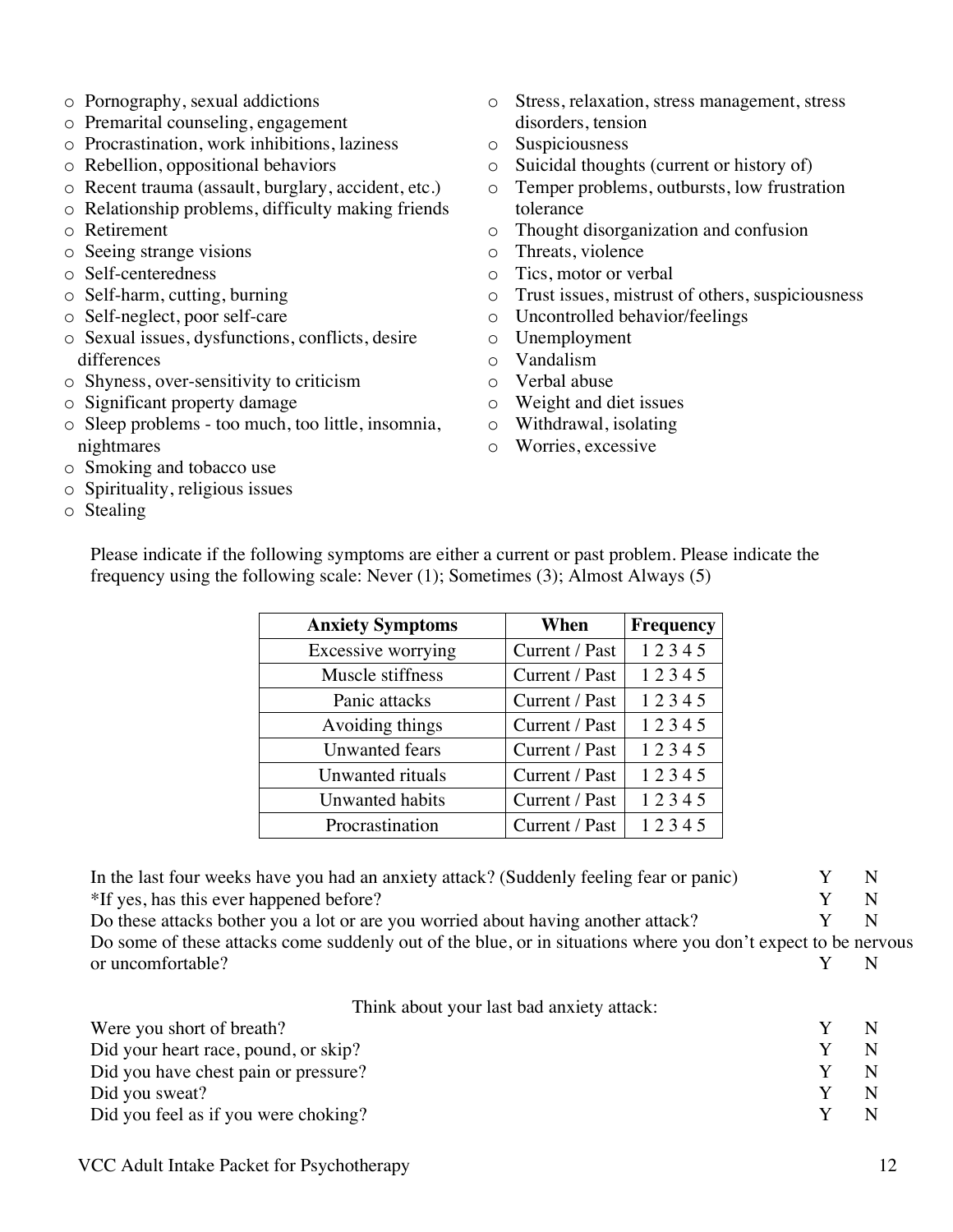- o Pornography, sexual addictions
- o Premarital counseling, engagement
- o Procrastination, work inhibitions, laziness
- o Rebellion, oppositional behaviors
- o Recent trauma (assault, burglary, accident, etc.)
- o Relationship problems, difficulty making friends
- o Retirement
- o Seeing strange visions
- o Self-centeredness
- o Self-harm, cutting, burning
- o Self-neglect, poor self-care
- o Sexual issues, dysfunctions, conflicts, desire differences
- o Shyness, over-sensitivity to criticism
- o Significant property damage
- o Sleep problems too much, too little, insomnia, nightmares
- o Smoking and tobacco use
- o Spirituality, religious issues
- o Stealing
- o Stress, relaxation, stress management, stress disorders, tension
- o Suspiciousness
- o Suicidal thoughts (current or history of)
- o Temper problems, outbursts, low frustration tolerance
- o Thought disorganization and confusion
- o Threats, violence
- o Tics, motor or verbal
- o Trust issues, mistrust of others, suspiciousness
- o Uncontrolled behavior/feelings
- o Unemployment
- o Vandalism
- o Verbal abuse
- o Weight and diet issues
- o Withdrawal, isolating
- o Worries, excessive

| <b>Anxiety Symptoms</b> | When           | <b>Frequency</b> |
|-------------------------|----------------|------------------|
|                         |                |                  |
| Excessive worrying      | Current / Past | 12345            |
| Muscle stiffness        | Current / Past | 12345            |
| Panic attacks           | Current / Past | 12345            |
| Avoiding things         | Current / Past | 12345            |
| <b>Unwanted fears</b>   | Current / Past | 12345            |
| Unwanted rituals        | Current / Past | 12345            |
| Unwanted habits         | Current / Past | 12345            |
| Procrastination         | Current / Past | 12345            |

Please indicate if the following symptoms are either a current or past problem. Please indicate the frequency using the following scale: Never (1); Sometimes (3); Almost Always (5)

In the last four weeks have you had an anxiety attack? (Suddenly feeling fear or panic)  $Y \tN$  $*$ If yes, has this ever happened before?  $Y \tN$ Do these attacks bother you a lot or are you worried about having another attack?  $Y \tN$ 

Do some of these attacks come suddenly out of the blue, or in situations where you don't expect to be nervous or uncomfortable? N

Think about your last bad anxiety attack:

| Were you short of breath?            |  |
|--------------------------------------|--|
| Did your heart race, pound, or skip? |  |
| Did you have chest pain or pressure? |  |
| Did you sweat?                       |  |
| Did you feel as if you were choking? |  |